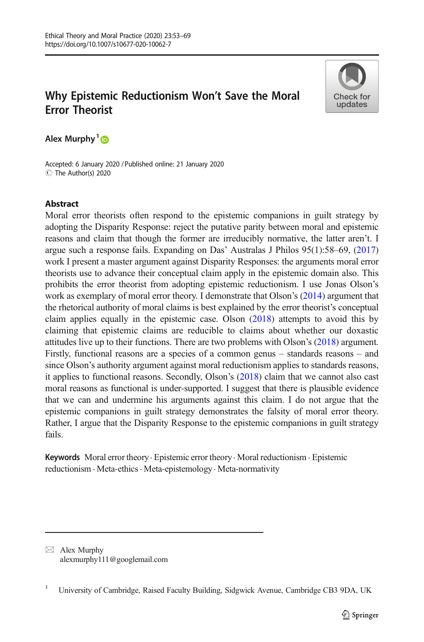# Why Epistemic Reductionism Won't Save the Moral Error Theorist



Alex Murphy<sup>1</sup>

Accepted: 6 January 2020 /Published online: 21 January 2020 C The Author(s) 2020

## Abstract

Moral error theorists often respond to the epistemic companions in guilt strategy by adopting the Disparity Response: reject the putative parity between moral and epistemic reasons and claim that though the former are irreducibly normative, the latter aren't. I argue such a response fails. Expanding on Das' Australas J Philos 95(1):58–69, ([2017](#page-15-0)) work I present a master argument against Disparity Responses: the arguments moral error theorists use to advance their conceptual claim apply in the epistemic domain also. This prohibits the error theorist from adopting epistemic reductionism. I use Jonas Olson's work as exemplary of moral error theory. I demonstrate that Olson's [\(2014\)](#page-16-0) argument that the rhetorical authority of moral claims is best explained by the error theorist's conceptual claim applies equally in the epistemic case. Olson ([2018](#page-16-0)) attempts to avoid this by claiming that epistemic claims are reducible to claims about whether our doxastic attitudes live up to their functions. There are two problems with Olson's ([2018](#page-16-0)) argument. Firstly, functional reasons are a species of a common genus – standards reasons – and since Olson's authority argument against moral reductionism applies to standards reasons, it applies to functional reasons. Secondly, Olson's ([2018](#page-16-0)) claim that we cannot also cast moral reasons as functional is under-supported. I suggest that there is plausible evidence that we can and undermine his arguments against this claim. I do not argue that the epistemic companions in guilt strategy demonstrates the falsity of moral error theory. Rather, I argue that the Disparity Response to the epistemic companions in guilt strategy fails.

Keywords Moral error theory · Epistemic error theory · Moral reductionism · Epistemic reductionism . Meta-ethics. Meta-epistemology. Meta-normativity

 $\boxtimes$  Alex Murphy [alexmurphy111@googlemail.com](mailto:alexmurphy111@googlemail.com)

<sup>&</sup>lt;sup>1</sup> University of Cambridge, Raised Faculty Building, Sidgwick Avenue, Cambridge CB3 9DA, UK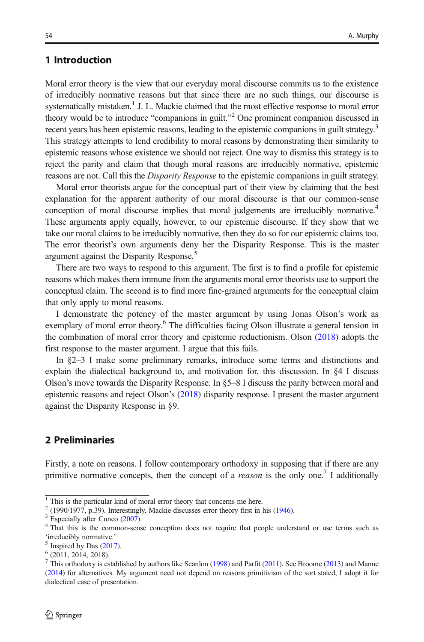# 1 Introduction

Moral error theory is the view that our everyday moral discourse commits us to the existence of irreducibly normative reasons but that since there are no such things, our discourse is systematically mistaken.<sup>1</sup> J. L. Mackie claimed that the most effective response to moral error theory would be to introduce "companions in guilt." <sup>2</sup> One prominent companion discussed in recent years has been epistemic reasons, leading to the epistemic companions in guilt strategy.<sup>3</sup> This strategy attempts to lend credibility to moral reasons by demonstrating their similarity to epistemic reasons whose existence we should not reject. One way to dismiss this strategy is to reject the parity and claim that though moral reasons are irreducibly normative, epistemic reasons are not. Call this the *Disparity Response* to the epistemic companions in guilt strategy.

Moral error theorists argue for the conceptual part of their view by claiming that the best explanation for the apparent authority of our moral discourse is that our common-sense conception of moral discourse implies that moral judgements are irreducibly normative.<sup>4</sup> These arguments apply equally, however, to our epistemic discourse. If they show that we take our moral claims to be irreducibly normative, then they do so for our epistemic claims too. The error theorist's own arguments deny her the Disparity Response. This is the master argument against the Disparity Response.<sup>5</sup>

There are two ways to respond to this argument. The first is to find a profile for epistemic reasons which makes them immune from the arguments moral error theorists use to support the conceptual claim. The second is to find more fine-grained arguments for the conceptual claim that only apply to moral reasons.

I demonstrate the potency of the master argument by using Jonas Olson's work as exemplary of moral error theory.<sup>6</sup> The difficulties facing Olson illustrate a general tension in the combination of moral error theory and epistemic reductionism. Olson [\(2018\)](#page-16-0) adopts the first response to the master argument. I argue that this fails.

In §2–3 I make some preliminary remarks, introduce some terms and distinctions and explain the dialectical background to, and motivation for, this discussion. In §4 I discuss Olson's move towards the Disparity Response. In §5–8 I discuss the parity between moral and epistemic reasons and reject Olson's ([2018](#page-16-0)) disparity response. I present the master argument against the Disparity Response in §9.

# 2 Preliminaries

Firstly, a note on reasons. I follow contemporary orthodoxy in supposing that if there are any primitive normative concepts, then the concept of a *reason* is the only one.<sup>7</sup> I additionally

<sup>&</sup>lt;sup>1</sup> This is the particular kind of moral error theory that concerns me here.<br><sup>2</sup> (1990/1977 n 39) Interestingly Mackie discusses error theory first in

 $2 \times 1990/1977$ , p.39). Interestingly, Mackie discusses error theory first in his ([1946](#page-16-0)).<br> $3$  Especially after Cuneo [\(2007\)](#page-15-0).<br> $4$  That this is the common-sense conception does not require that people understand or use term 'irreducibly normative.'<br>  $\frac{5}{1}$  Inspired by Das [\(2017\)](#page-15-0).<br>  $\frac{6}{2011}$ , 2014, 2018).

 $^7$  This orthodoxy is established by authors like Scanlon [\(1998\)](#page-16-0) and Parfit [\(2011\)](#page-16-0). See Broome [\(2013\)](#page-15-0) and Manne [\(2014\)](#page-16-0) for alternatives. My argument need not depend on reasons primitivism of the sort stated, I adopt it for dialectical ease of presentation.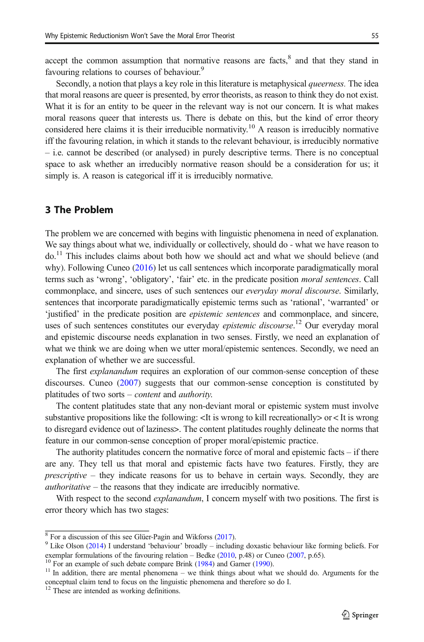accept the common assumption that normative reasons are facts, $\delta$  and that they stand in favouring relations to courses of behaviour.<sup>9</sup>

Secondly, a notion that plays a key role in this literature is metaphysical *queerness*. The idea that moral reasons are queer is presented, by error theorists, as reason to think they do not exist. What it is for an entity to be queer in the relevant way is not our concern. It is what makes moral reasons queer that interests us. There is debate on this, but the kind of error theory considered here claims it is their irreducible normativity.<sup>10</sup> A reason is irreducibly normative iff the favouring relation, in which it stands to the relevant behaviour, is irreducibly normative – i.e. cannot be described (or analysed) in purely descriptive terms. There is no conceptual space to ask whether an irreducibly normative reason should be a consideration for us; it simply is. A reason is categorical iff it is irreducibly normative.

#### 3 The Problem

The problem we are concerned with begins with linguistic phenomena in need of explanation. We say things about what we, individually or collectively, should do - what we have reason to do.<sup>11</sup> This includes claims about both how we should act and what we should believe (and why). Following Cuneo [\(2016\)](#page-15-0) let us call sentences which incorporate paradigmatically moral terms such as 'wrong', 'obligatory', 'fair' etc. in the predicate position moral sentences. Call commonplace, and sincere, uses of such sentences our *everyday moral discourse*. Similarly, sentences that incorporate paradigmatically epistemic terms such as 'rational', 'warranted' or 'justified' in the predicate position are epistemic sentences and commonplace, and sincere, uses of such sentences constitutes our everyday epistemic discourse.<sup>12</sup> Our everyday moral and epistemic discourse needs explanation in two senses. Firstly, we need an explanation of what we think we are doing when we utter moral/epistemic sentences. Secondly, we need an explanation of whether we are successful.

The first *explanandum* requires an exploration of our common-sense conception of these discourses. Cuneo [\(2007](#page-15-0)) suggests that our common-sense conception is constituted by platitudes of two sorts – content and authority.

The content platitudes state that any non-deviant moral or epistemic system must involve substantive propositions like the following:  $\langle$ It is wrong to kill recreationally> or  $\langle$ It is wrong to disregard evidence out of laziness>. The content platitudes roughly delineate the norms that feature in our common-sense conception of proper moral/epistemic practice.

The authority platitudes concern the normative force of moral and epistemic facts  $-$  if there are any. They tell us that moral and epistemic facts have two features. Firstly, they are *prescriptive –* they indicate reasons for us to behave in certain ways. Secondly, they are authoritative – the reasons that they indicate are irreducibly normative.

With respect to the second *explanandum*, I concern myself with two positions. The first is error theory which has two stages:

<sup>8</sup> For a discussion of this see Glüer-Pagin and Wikforss [\(2017](#page-16-0)). <sup>9</sup> Like Olson ([2014](#page-16-0)) I understand 'behaviour' broadly – including doxastic behaviour like forming beliefs. For exemplar formulations of the favouring relation – Bedke ([2010](#page-15-0), p.48) or Cuneo ([2007](#page-15-0), p.65).<br><sup>10</sup> For an example of such debate compare Brink ([1984](#page-15-0)) and Garner [\(1990\)](#page-16-0).<br><sup>11</sup> In addition, there are mental phenomena – we thin

conceptual claim tend to focus on the linguistic phenomena and therefore so do I.

<sup>&</sup>lt;sup>12</sup> These are intended as working definitions.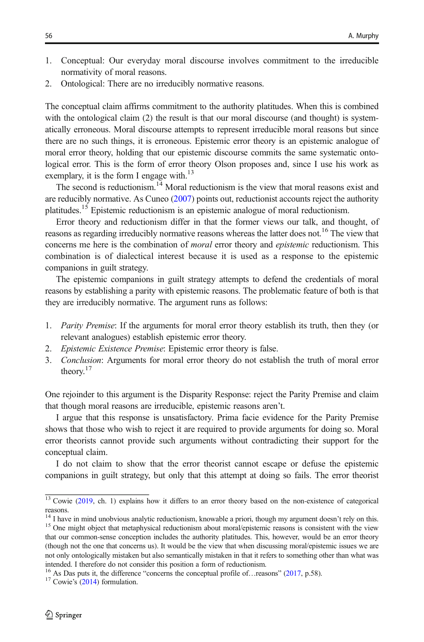- 1. Conceptual: Our everyday moral discourse involves commitment to the irreducible normativity of moral reasons.
- 2. Ontological: There are no irreducibly normative reasons.

The conceptual claim affirms commitment to the authority platitudes. When this is combined with the ontological claim (2) the result is that our moral discourse (and thought) is systematically erroneous. Moral discourse attempts to represent irreducible moral reasons but since there are no such things, it is erroneous. Epistemic error theory is an epistemic analogue of moral error theory, holding that our epistemic discourse commits the same systematic ontological error. This is the form of error theory Olson proposes and, since I use his work as exemplary, it is the form I engage with.<sup>13</sup>

The second is reductionism.<sup>14</sup> Moral reductionism is the view that moral reasons exist and are reducibly normative. As Cuneo [\(2007\)](#page-15-0) points out, reductionist accounts reject the authority platitudes.<sup>15</sup> Epistemic reductionism is an epistemic analogue of moral reductionism.

Error theory and reductionism differ in that the former views our talk, and thought, of reasons as regarding irreducibly normative reasons whereas the latter does not.<sup>16</sup> The view that concerns me here is the combination of *moral* error theory and *epistemic* reductionism. This combination is of dialectical interest because it is used as a response to the epistemic companions in guilt strategy.

The epistemic companions in guilt strategy attempts to defend the credentials of moral reasons by establishing a parity with epistemic reasons. The problematic feature of both is that they are irreducibly normative. The argument runs as follows:

- 1. Parity Premise: If the arguments for moral error theory establish its truth, then they (or relevant analogues) establish epistemic error theory.
- 2. Epistemic Existence Premise: Epistemic error theory is false.
- 3. Conclusion: Arguments for moral error theory do not establish the truth of moral error theory.<sup>17</sup>

One rejoinder to this argument is the Disparity Response: reject the Parity Premise and claim that though moral reasons are irreducible, epistemic reasons aren't.

I argue that this response is unsatisfactory. Prima facie evidence for the Parity Premise shows that those who wish to reject it are required to provide arguments for doing so. Moral error theorists cannot provide such arguments without contradicting their support for the conceptual claim.

I do not claim to show that the error theorist cannot escape or defuse the epistemic companions in guilt strategy, but only that this attempt at doing so fails. The error theorist

<sup>&</sup>lt;sup>13</sup> Cowie ([2019](#page-15-0), ch. 1) explains how it differs to an error theory based on the non-existence of categorical reasons.

<sup>&</sup>lt;sup>14</sup> I have in mind unobvious analytic reductionism, knowable a priori, though my argument doesn't rely on this. <sup>15</sup> One might object that metaphysical reductionism about moral/epistemic reasons is consistent with the vi that our common-sense conception includes the authority platitudes. This, however, would be an error theory (though not the one that concerns us). It would be the view that when discussing moral/epistemic issues we are not only ontologically mistaken but also semantically mistaken in that it refers to something other than what was intended. I therefore do not consider this position a form of reductionism.

<sup>&</sup>lt;sup>16</sup> As Das puts it, the difference "concerns the conceptual profile of... reasons" ([2017,](#page-15-0) p.58). <sup>17</sup> Cowie's ([2014](#page-15-0)) formulation.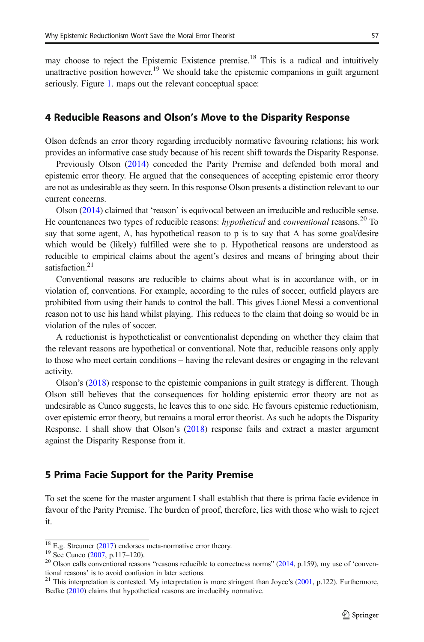may choose to reject the Epistemic Existence premise.<sup>18</sup> This is a radical and intuitively unattractive position however.<sup>19</sup> We should take the epistemic companions in guilt argument seriously. Figure [1](#page-5-0). maps out the relevant conceptual space:

#### 4 Reducible Reasons and Olson's Move to the Disparity Response

Olson defends an error theory regarding irreducibly normative favouring relations; his work provides an informative case study because of his recent shift towards the Disparity Response.

Previously Olson [\(2014](#page-16-0)) conceded the Parity Premise and defended both moral and epistemic error theory. He argued that the consequences of accepting epistemic error theory are not as undesirable as they seem. In this response Olson presents a distinction relevant to our current concerns.

Olson [\(2014\)](#page-16-0) claimed that 'reason' is equivocal between an irreducible and reducible sense. He countenances two types of reducible reasons: *hypothetical* and *conventional* reasons.<sup>20</sup> To say that some agent, A, has hypothetical reason to p is to say that A has some goal/desire which would be (likely) fulfilled were she to p. Hypothetical reasons are understood as reducible to empirical claims about the agent's desires and means of bringing about their satisfaction.<sup>21</sup>

Conventional reasons are reducible to claims about what is in accordance with, or in violation of, conventions. For example, according to the rules of soccer, outfield players are prohibited from using their hands to control the ball. This gives Lionel Messi a conventional reason not to use his hand whilst playing. This reduces to the claim that doing so would be in violation of the rules of soccer.

A reductionist is hypotheticalist or conventionalist depending on whether they claim that the relevant reasons are hypothetical or conventional. Note that, reducible reasons only apply to those who meet certain conditions – having the relevant desires or engaging in the relevant activity.

Olson's ([2018](#page-16-0)) response to the epistemic companions in guilt strategy is different. Though Olson still believes that the consequences for holding epistemic error theory are not as undesirable as Cuneo suggests, he leaves this to one side. He favours epistemic reductionism, over epistemic error theory, but remains a moral error theorist. As such he adopts the Disparity Response. I shall show that Olson's ([2018](#page-16-0)) response fails and extract a master argument against the Disparity Response from it.

## 5 Prima Facie Support for the Parity Premise

To set the scene for the master argument I shall establish that there is prima facie evidence in favour of the Parity Premise. The burden of proof, therefore, lies with those who wish to reject it.

 $\frac{18}{18}$  E.g. Streumer [\(2017\)](#page-16-0) endorses meta-normative error theory.<br>
<sup>19</sup> See Cuneo [\(2007,](#page-15-0) p.117–120).<br>
<sup>20</sup> Olson calls conventional reasons "reasons reducible to correctness norms" ([2014](#page-16-0), p.159), my use of 'conven-

tional reasons' is to avoid confusion in later sections.<br><sup>21</sup> This interpretation is contested. My interpretation is more stringent than Joyce's ([2001](#page-16-0), p.122). Furthermore, Bedke [\(2010\)](#page-15-0) claims that hypothetical reasons are irreducibly normative.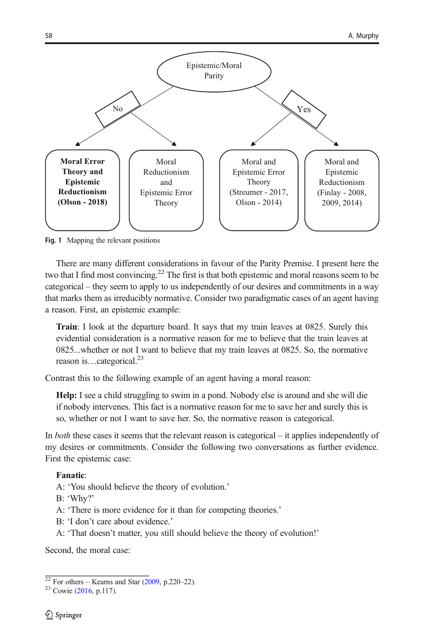<span id="page-5-0"></span>

Fig. 1 Mapping the relevant positions

There are many different considerations in favour of the Parity Premise. I present here the two that I find most convincing.<sup>22</sup> The first is that both epistemic and moral reasons seem to be categorical – they seem to apply to us independently of our desires and commitments in a way that marks them as irreducibly normative. Consider two paradigmatic cases of an agent having a reason. First, an epistemic example:

Train: I look at the departure board. It says that my train leaves at 0825. Surely this evidential consideration is a normative reason for me to believe that the train leaves at 0825...whether or not I want to believe that my train leaves at 0825. So, the normative reason is...categorical.<sup>23</sup>

Contrast this to the following example of an agent having a moral reason:

Help: I see a child struggling to swim in a pond. Nobody else is around and she will die if nobody intervenes. This fact is a normative reason for me to save her and surely this is so, whether or not I want to save her. So, the normative reason is categorical.

In *both* these cases it seems that the relevant reason is categorical – it applies independently of my desires or commitments. Consider the following two conversations as further evidence. First the epistemic case:

#### Fanatic:

- A: 'You should believe the theory of evolution.'
- B: 'Why?'
- A: 'There is more evidence for it than for competing theories.'
- B: 'I don't care about evidence.'
- A: 'That doesn't matter, you still should believe the theory of evolution!'

Second, the moral case:

 $rac{22}{22}$  For others – Kearns and Star ([2009](#page-16-0), p.220–22).<br><sup>23</sup> Cowie ([2016](#page-15-0), p.117).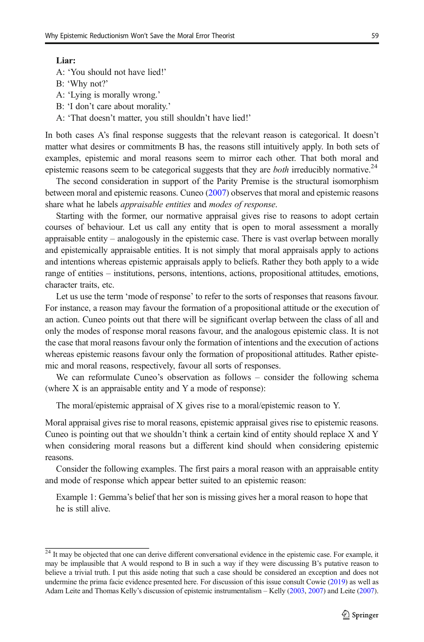#### Liar:

A: 'You should not have lied!'

- B: 'Why not?'
- A: 'Lying is morally wrong.'
- B: 'I don't care about morality.'
- A: 'That doesn't matter, you still shouldn't have lied!'

In both cases A's final response suggests that the relevant reason is categorical. It doesn't matter what desires or commitments B has, the reasons still intuitively apply. In both sets of examples, epistemic and moral reasons seem to mirror each other. That both moral and epistemic reasons seem to be categorical suggests that they are *both* irreducibly normative.<sup>24</sup>

The second consideration in support of the Parity Premise is the structural isomorphism between moral and epistemic reasons. Cuneo [\(2007\)](#page-15-0) observes that moral and epistemic reasons share what he labels appraisable entities and modes of response.

Starting with the former, our normative appraisal gives rise to reasons to adopt certain courses of behaviour. Let us call any entity that is open to moral assessment a morally appraisable entity – analogously in the epistemic case. There is vast overlap between morally and epistemically appraisable entities. It is not simply that moral appraisals apply to actions and intentions whereas epistemic appraisals apply to beliefs. Rather they both apply to a wide range of entities – institutions, persons, intentions, actions, propositional attitudes, emotions, character traits, etc.

Let us use the term 'mode of response' to refer to the sorts of responses that reasons favour. For instance, a reason may favour the formation of a propositional attitude or the execution of an action. Cuneo points out that there will be significant overlap between the class of all and only the modes of response moral reasons favour, and the analogous epistemic class. It is not the case that moral reasons favour only the formation of intentions and the execution of actions whereas epistemic reasons favour only the formation of propositional attitudes. Rather epistemic and moral reasons, respectively, favour all sorts of responses.

We can reformulate Cuneo's observation as follows – consider the following schema (where X is an appraisable entity and Y a mode of response):

The moral/epistemic appraisal of X gives rise to a moral/epistemic reason to Y.

Moral appraisal gives rise to moral reasons, epistemic appraisal gives rise to epistemic reasons. Cuneo is pointing out that we shouldn't think a certain kind of entity should replace X and Y when considering moral reasons but a different kind should when considering epistemic reasons.

Consider the following examples. The first pairs a moral reason with an appraisable entity and mode of response which appear better suited to an epistemic reason:

Example 1: Gemma's belief that her son is missing gives her a moral reason to hope that he is still alive.

 $24$  It may be objected that one can derive different conversational evidence in the epistemic case. For example, it may be implausible that A would respond to B in such a way if they were discussing B's putative reason to believe a trivial truth. I put this aside noting that such a case should be considered an exception and does not undermine the prima facie evidence presented here. For discussion of this issue consult Cowie [\(2019\)](#page-15-0) as well as Adam Leite and Thomas Kelly's discussion of epistemic instrumentalism – Kelly [\(2003,](#page-16-0) [2007](#page-16-0)) and Leite ([2007](#page-16-0)).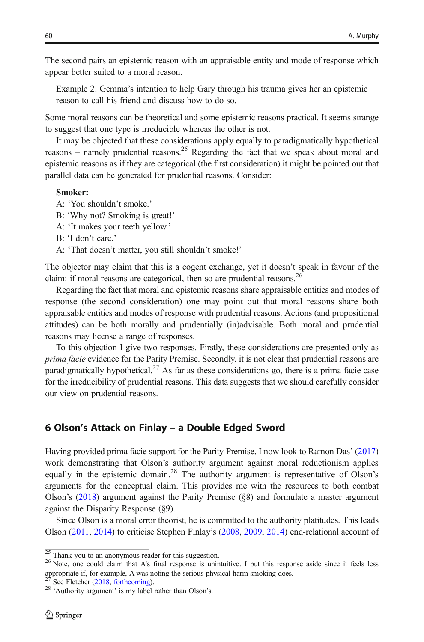The second pairs an epistemic reason with an appraisable entity and mode of response which appear better suited to a moral reason.

Example 2: Gemma's intention to help Gary through his trauma gives her an epistemic reason to call his friend and discuss how to do so.

Some moral reasons can be theoretical and some epistemic reasons practical. It seems strange to suggest that one type is irreducible whereas the other is not.

It may be objected that these considerations apply equally to paradigmatically hypothetical reasons – namely prudential reasons.<sup>25</sup> Regarding the fact that we speak about moral and epistemic reasons as if they are categorical (the first consideration) it might be pointed out that parallel data can be generated for prudential reasons. Consider:

#### Smoker:

A: 'You shouldn't smoke.' B: 'Why not? Smoking is great!' A: 'It makes your teeth yellow.' B: 'I don't care.' A: 'That doesn't matter, you still shouldn't smoke!'

The objector may claim that this is a cogent exchange, yet it doesn't speak in favour of the claim: if moral reasons are categorical, then so are prudential reasons.<sup>26</sup>

Regarding the fact that moral and epistemic reasons share appraisable entities and modes of response (the second consideration) one may point out that moral reasons share both appraisable entities and modes of response with prudential reasons. Actions (and propositional attitudes) can be both morally and prudentially (in)advisable. Both moral and prudential reasons may license a range of responses.

To this objection I give two responses. Firstly, these considerations are presented only as prima facie evidence for the Parity Premise. Secondly, it is not clear that prudential reasons are paradigmatically hypothetical.<sup>27</sup> As far as these considerations go, there is a prima facie case for the irreducibility of prudential reasons. This data suggests that we should carefully consider our view on prudential reasons.

# 6 Olson's Attack on Finlay – a Double Edged Sword

Having provided prima facie support for the Parity Premise, I now look to Ramon Das' [\(2017\)](#page-15-0) work demonstrating that Olson's authority argument against moral reductionism applies equally in the epistemic domain.<sup>28</sup> The authority argument is representative of Olson's arguments for the conceptual claim. This provides me with the resources to both combat Olson's [\(2018\)](#page-16-0) argument against the Parity Premise (§8) and formulate a master argument against the Disparity Response (§9).

Since Olson is a moral error theorist, he is committed to the authority platitudes. This leads Olson [\(2011,](#page-16-0) [2014\)](#page-16-0) to criticise Stephen Finlay's ([2008](#page-15-0), [2009,](#page-15-0) [2014](#page-15-0)) end-relational account of

 $\frac{25}{25}$  Thank you to an anonymous reader for this suggestion.<br><sup>26</sup> Note, one could claim that A's final response is unintuitive. I put this response aside since it feels less appropriate if, for example, A was noting the serious physical harm smoking does.

<sup>&</sup>lt;sup>27</sup> See Fletcher [\(2018,](#page-16-0) [forthcoming\)](#page-16-0).<br><sup>28</sup> 'Authority argument' is my label rather than Olson's.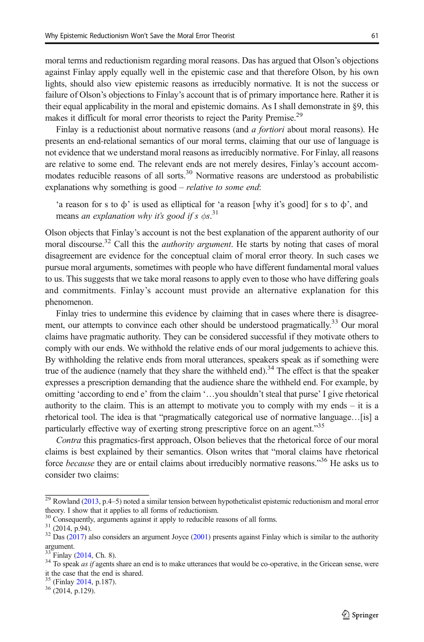moral terms and reductionism regarding moral reasons. Das has argued that Olson's objections against Finlay apply equally well in the epistemic case and that therefore Olson, by his own lights, should also view epistemic reasons as irreducibly normative. It is not the success or failure of Olson's objections to Finlay's account that is of primary importance here. Rather it is their equal applicability in the moral and epistemic domains. As I shall demonstrate in §9, this makes it difficult for moral error theorists to reject the Parity Premise.<sup>29</sup>

Finlay is a reductionist about normative reasons (and *a fortiori* about moral reasons). He presents an end-relational semantics of our moral terms, claiming that our use of language is not evidence that we understand moral reasons as irreducibly normative. For Finlay, all reasons are relative to some end. The relevant ends are not merely desires, Finlay's account accommodates reducible reasons of all sorts.<sup>30</sup> Normative reasons are understood as probabilistic explanations why something is good – *relative to some end*:

'a reason for s to  $\phi$ ' is used as elliptical for 'a reason [why it's good] for s to  $\phi$ ', and means an explanation why it's good if s  $\phi s$ .<sup>31</sup>

Olson objects that Finlay's account is not the best explanation of the apparent authority of our moral discourse.<sup>32</sup> Call this the *authority argument*. He starts by noting that cases of moral disagreement are evidence for the conceptual claim of moral error theory. In such cases we pursue moral arguments, sometimes with people who have different fundamental moral values to us. This suggests that we take moral reasons to apply even to those who have differing goals and commitments. Finlay's account must provide an alternative explanation for this phenomenon.

Finlay tries to undermine this evidence by claiming that in cases where there is disagreement, our attempts to convince each other should be understood pragmatically.<sup>33</sup> Our moral claims have pragmatic authority. They can be considered successful if they motivate others to comply with our ends. We withhold the relative ends of our moral judgements to achieve this. By withholding the relative ends from moral utterances, speakers speak as if something were true of the audience (namely that they share the withheld end).<sup>34</sup> The effect is that the speaker expresses a prescription demanding that the audience share the withheld end. For example, by omitting 'according to end e' from the claim '…you shouldn't steal that purse' I give rhetorical authority to the claim. This is an attempt to motivate you to comply with my ends – it is a rhetorical tool. The idea is that "pragmatically categorical use of normative language…[is] a particularly effective way of exerting strong prescriptive force on an agent."<sup>35</sup>

Contra this pragmatics-first approach, Olson believes that the rhetorical force of our moral claims is best explained by their semantics. Olson writes that "moral claims have rhetorical force *because* they are or entail claims about irreducibly normative reasons."<sup>36</sup> He asks us to consider two claims:

 $29$  Rowland [\(2013,](#page-16-0) p.4–5) noted a similar tension between hypotheticalist epistemic reductionism and moral error theory. I show that it applies to all forms of reductionism.<br><sup>30</sup> Consequently, arguments against it apply to reducible reasons of all forms.

<sup>&</sup>lt;sup>31</sup> (2014, p.94). <sup>32</sup> Das ([2017](#page-15-0)) also considers an argument Joyce [\(2001\)](#page-16-0) presents against Finlay which is similar to the authority argument.

 $33$  Finlay [\(2014,](#page-15-0) Ch. 8).  $34$  To speak *as if* agents share an end is to make utterances that would be co-operative, in the Gricean sense, were it the case that the end is shared.

 $35 \text{ (Finlay } 2014, \text{ p.187}).$  $35 \text{ (Finlay } 2014, \text{ p.187}).$  $35 \text{ (Finlay } 2014, \text{ p.187}).$ <br> $36 \text{ (2014, p.129)}.$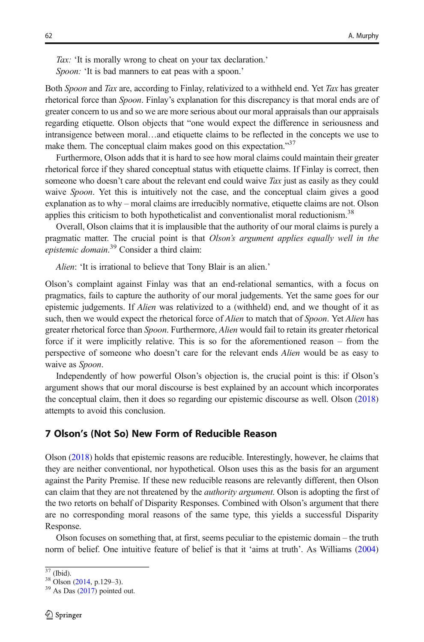Tax: 'It is morally wrong to cheat on your tax declaration.'

Spoon: 'It is bad manners to eat peas with a spoon.'

Both Spoon and Tax are, according to Finlay, relativized to a withheld end. Yet Tax has greater rhetorical force than *Spoon*. Finlay's explanation for this discrepancy is that moral ends are of greater concern to us and so we are more serious about our moral appraisals than our appraisals regarding etiquette. Olson objects that "one would expect the difference in seriousness and intransigence between moral…and etiquette claims to be reflected in the concepts we use to make them. The conceptual claim makes good on this expectation."<sup>37</sup>

Furthermore, Olson adds that it is hard to see how moral claims could maintain their greater rhetorical force if they shared conceptual status with etiquette claims. If Finlay is correct, then someone who doesn't care about the relevant end could waive Tax just as easily as they could waive *Spoon*. Yet this is intuitively not the case, and the conceptual claim gives a good explanation as to why – moral claims are irreducibly normative, etiquette claims are not. Olson applies this criticism to both hypotheticalist and conventionalist moral reductionism.<sup>38</sup>

Overall, Olson claims that it is implausible that the authority of our moral claims is purely a pragmatic matter. The crucial point is that Olson's argument applies equally well in the epistemic domain.<sup>39</sup> Consider a third claim:

Alien: 'It is irrational to believe that Tony Blair is an alien.'

Olson's complaint against Finlay was that an end-relational semantics, with a focus on pragmatics, fails to capture the authority of our moral judgements. Yet the same goes for our epistemic judgements. If *Alien* was relativized to a (withheld) end, and we thought of it as such, then we would expect the rhetorical force of *Alien* to match that of *Spoon*. Yet *Alien* has greater rhetorical force than Spoon. Furthermore, Alien would fail to retain its greater rhetorical force if it were implicitly relative. This is so for the aforementioned reason – from the perspective of someone who doesn't care for the relevant ends *Alien* would be as easy to waive as Spoon.

Independently of how powerful Olson's objection is, the crucial point is this: if Olson's argument shows that our moral discourse is best explained by an account which incor[porates](#page-16-0) the conceptual claim, then it does so regarding our epistemic discourse as well. Olson (2018) attempts to avoid this conclusion.

### 7 Olson's (Not So) New Form of Reducible Reason

Olson [\(2018\)](#page-16-0) holds that epistemic reasons are reducible. Interestingly, however, he claims that they are neither conventional, nor hypothetical. Olson uses this as the basis for an argument against the Parity Premise. If these new reducible reasons are relevantly different, then Olson can claim that they are not threatened by the *authority argument*. Olson is adopting the first of the two retorts on behalf of Disparity Responses. Combined with Olson's argument that there are no corresponding moral reasons of the same type, this yields a successful Disparity Response.

Olson focuses on something that, at first, seems peculiar to the epistemic domain – the truth norm of belief. One intuitive feature of belief is that it 'aims at truth'. As Williams [\(2004\)](#page-16-0)

 $\frac{37}{37}$  (Ibid).<br><sup>38</sup> Olson [\(2014,](#page-16-0) p.129–3).<br><sup>39</sup> As Das ([2017](#page-15-0)) pointed out.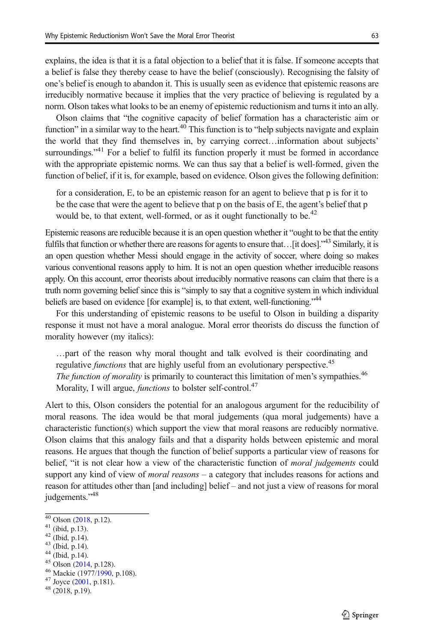explains, the idea is that it is a fatal objection to a belief that it is false. If someone accepts that a belief is false they thereby cease to have the belief (consciously). Recognising the falsity of one's belief is enough to abandon it. This is usually seen as evidence that epistemic reasons are irreducibly normative because it implies that the very practice of believing is regulated by a norm. Olson takes what looks to be an enemy of epistemic reductionism and turns it into an ally.

Olson claims that "the cognitive capacity of belief formation has a characteristic aim or function" in a similar way to the heart.<sup>40</sup> This function is to "help subjects navigate and explain the world that they find themselves in, by carrying correct…information about subjects' surroundings."<sup>41</sup> For a belief to fulfil its function properly it must be formed in accordance with the appropriate epistemic norms. We can thus say that a belief is well-formed, given the function of belief, if it is, for example, based on evidence. Olson gives the following definition:

for a consideration, E, to be an epistemic reason for an agent to believe that p is for it to be the case that were the agent to believe that p on the basis of E, the agent's belief that p would be, to that extent, well-formed, or as it ought functionally to be.<sup>42</sup>

Epistemic reasons are reducible because it is an open question whether it "ought to be that the entity fulfils that function or whether there are reasons for agents to ensure that... [it does]."<sup>43</sup> Similarly, it is an open question whether Messi should engage in the activity of soccer, where doing so makes various conventional reasons apply to him. It is not an open question whether irreducible reasons apply. On this account, error theorists about irreducibly normative reasons can claim that there is a truth norm governing belief since this is "simply to say that a cognitive system in which individual beliefs are based on evidence [for example] is, to that extent, well-functioning."<sup>44</sup>

For this understanding of epistemic reasons to be useful to Olson in building a disparity response it must not have a moral analogue. Moral error theorists do discuss the function of morality however (my italics):

…part of the reason why moral thought and talk evolved is their coordinating and regulative *functions* that are highly useful from an evolutionary perspective.<sup>45</sup> The function of morality is primarily to counteract this limitation of men's sympathies.<sup>46</sup> Morality, I will argue, *functions* to bolster self-control.<sup>47</sup>

Alert to this, Olson considers the potential for an analogous argument for the reducibility of moral reasons. The idea would be that moral judgements (qua moral judgements) have a characteristic function(s) which support the view that moral reasons are reducibly normative. Olson claims that this analogy fails and that a disparity holds between epistemic and moral reasons. He argues that though the function of belief supports a particular view of reasons for belief, "it is not clear how a view of the characteristic function of *moral judgements* could support any kind of view of *moral reasons* – a category that includes reasons for actions and reason for attitudes other than [and including] belief – and not just a view of reasons for moral judgements."<sup>48</sup>

<sup>40</sup> Olson [\(2018,](#page-16-0) p.12).<br>
41 (ibid, p.13).<br>
42 (Ibid, p.14).<br>
43 (Ibid, p.14).<br>
44 (Ibid, p.14).<br>
45 Olson [\(2014,](#page-16-0) p.128).<br>
46 Mackie (1977[/1990,](#page-16-0) p.108).<br>
47 Joyce [\(2001,](#page-16-0) p.181).<br>
48 (2018, p.19).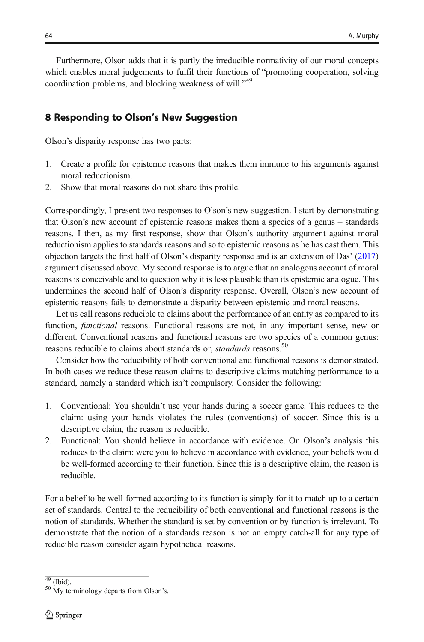Furthermore, Olson adds that it is partly the irreducible normativity of our moral concepts which enables moral judgements to fulfil their functions of "promoting cooperation, solving coordination problems, and blocking weakness of will."<sup>49</sup>

#### 8 Responding to Olson's New Suggestion

Olson's disparity response has two parts:

- 1. Create a profile for epistemic reasons that makes them immune to his arguments against moral reductionism.
- 2. Show that moral reasons do not share this profile.

Correspondingly, I present two responses to Olson's new suggestion. I start by demonstrating that Olson's new account of epistemic reasons makes them a species of a genus – standards reasons. I then, as my first response, show that Olson's authority argument against moral reductionism applies to standards reasons and so to epistemic reasons as he has cast them. This objection targets the first half of Olson's disparity response and is an extension of Das' [\(2017\)](#page-15-0) argument discussed above. My second response is to argue that an analogous account of moral reasons is conceivable and to question why it is less plausible than its epistemic analogue. This undermines the second half of Olson's disparity response. Overall, Olson's new account of epistemic reasons fails to demonstrate a disparity between epistemic and moral reasons.

Let us call reasons reducible to claims about the performance of an entity as compared to its function, *functional* reasons. Functional reasons are not, in any important sense, new or different. Conventional reasons and functional reasons are two species of a common genus: reasons reducible to claims about standards or, *standards* reasons.<sup>50</sup>

Consider how the reducibility of both conventional and functional reasons is demonstrated. In both cases we reduce these reason claims to descriptive claims matching performance to a standard, namely a standard which isn't compulsory. Consider the following:

- 1. Conventional: You shouldn't use your hands during a soccer game. This reduces to the claim: using your hands violates the rules (conventions) of soccer. Since this is a descriptive claim, the reason is reducible.
- 2. Functional: You should believe in accordance with evidence. On Olson's analysis this reduces to the claim: were you to believe in accordance with evidence, your beliefs would be well-formed according to their function. Since this is a descriptive claim, the reason is reducible.

For a belief to be well-formed according to its function is simply for it to match up to a certain set of standards. Central to the reducibility of both conventional and functional reasons is the notion of standards. Whether the standard is set by convention or by function is irrelevant. To demonstrate that the notion of a standards reason is not an empty catch-all for any type of reducible reason consider again hypothetical reasons.

 $\frac{49}{50}$  (Ibid).<br><sup>50</sup> My terminology departs from Olson's.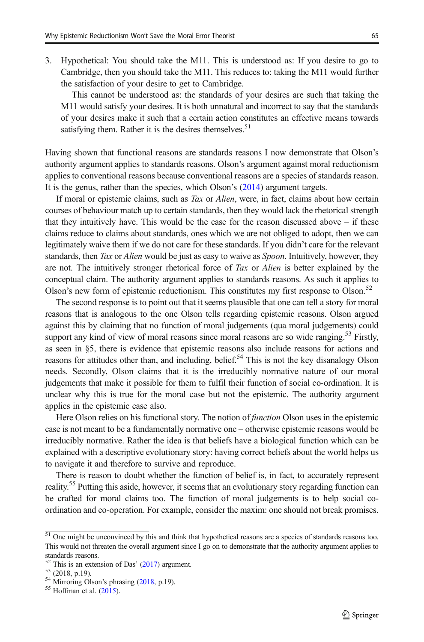3. Hypothetical: You should take the M11. This is understood as: If you desire to go to Cambridge, then you should take the M11. This reduces to: taking the M11 would further the satisfaction of your desire to get to Cambridge.

This cannot be understood as: the standards of your desires are such that taking the M11 would satisfy your desires. It is both unnatural and incorrect to say that the standards of your desires make it such that a certain action constitutes an effective means towards satisfying them. Rather it is the desires themselves. $51$ 

Having shown that functional reasons are standards reasons I now demonstrate that Olson's authority argument applies to standards reasons. Olson's argument against moral reductionism applies to conventional reasons because conventional reasons are a species of standards reason. It is the genus, rather than the species, which Olson's [\(2014\)](#page-16-0) argument targets.

If moral or epistemic claims, such as  $Tax$  or *Alien*, were, in fact, claims about how certain courses of behaviour match up to certain standards, then they would lack the rhetorical strength that they intuitively have. This would be the case for the reason discussed above  $-$  if these claims reduce to claims about standards, ones which we are not obliged to adopt, then we can legitimately waive them if we do not care for these standards. If you didn't care for the relevant standards, then Tax or Alien would be just as easy to waive as *Spoon*. Intuitively, however, they are not. The intuitively stronger rhetorical force of  $Tax$  or Alien is better explained by the conceptual claim. The authority argument applies to standards reasons. As such it applies to Olson's new form of epistemic reductionism. This constitutes my first response to Olson.<sup>52</sup>

The second response is to point out that it seems plausible that one can tell a story for moral reasons that is analogous to the one Olson tells regarding epistemic reasons. Olson argued against this by claiming that no function of moral judgements (qua moral judgements) could support any kind of view of moral reasons since moral reasons are so wide ranging.<sup>53</sup> Firstly, as seen in §5, there is evidence that epistemic reasons also include reasons for actions and reasons for attitudes other than, and including, belief.<sup>54</sup> This is not the key disanalogy Olson needs. Secondly, Olson claims that it is the irreducibly normative nature of our moral judgements that make it possible for them to fulfil their function of social co-ordination. It is unclear why this is true for the moral case but not the epistemic. The authority argument applies in the epistemic case also.

Here Olson relies on his functional story. The notion of *function* Olson uses in the epistemic case is not meant to be a fundamentally normative one – otherwise epistemic reasons would be irreducibly normative. Rather the idea is that beliefs have a biological function which can be explained with a descriptive evolutionary story: having correct beliefs about the world helps us to navigate it and therefore to survive and reproduce.

There is reason to doubt whether the function of belief is, in fact, to accurately represent reality.<sup>55</sup> Putting this aside, however, it seems that an evolutionary story regarding function can be crafted for moral claims too. The function of moral judgements is to help social coordination and co-operation. For example, consider the maxim: one should not break promises.

<sup>&</sup>lt;sup>51</sup> One might be unconvinced by this and think that hypothetical reasons are a species of standards reasons too. This would not threaten the overall argument since I go on to demonstrate that the authority argument applies to standards reasons.

<sup>&</sup>lt;sup>52</sup> This is an extension of Das' ([2017](#page-15-0)) argument.<br><sup>53</sup> [\(2018,](#page-16-0) p.19).<br><sup>54</sup> Mirroring Olson's phrasing (2018, p.19).<br><sup>55</sup> Hoffman et al. [\(2015](#page-16-0)).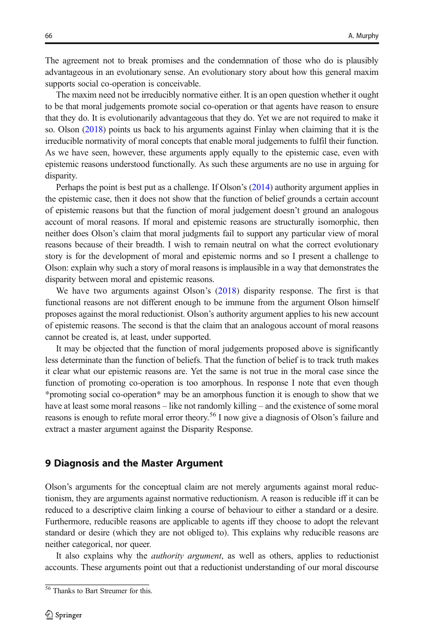The agreement not to break promises and the condemnation of those who do is plausibly advantageous in an evolutionary sense. An evolutionary story about how this general maxim supports social co-operation is conceivable.

The maxim need not be irreducibly normative either. It is an open question whether it ought to be that moral judgements promote social co-operation or that agents have reason to ensure that they do. It is evolutionarily advantageous that they do. Yet we are not required to make it so. Olson [\(2018\)](#page-16-0) points us back to his arguments against Finlay when claiming that it is the irreducible normativity of moral concepts that enable moral judgements to fulfil their function. As we have seen, however, these arguments apply equally to the epistemic case, even with epistemic reasons understood functionally. As such these arguments are no use in arguing for disparity.

Perhaps the point is best put as a challenge. If Olson's [\(2014\)](#page-16-0) authority argument applies in the epistemic case, then it does not show that the function of belief grounds a certain account of epistemic reasons but that the function of moral judgement doesn't ground an analogous account of moral reasons. If moral and epistemic reasons are structurally isomorphic, then neither does Olson's claim that moral judgments fail to support any particular view of moral reasons because of their breadth. I wish to remain neutral on what the correct evolutionary story is for the development of moral and epistemic norms and so I present a challenge to Olson: explain why such a story of moral reasons is implausible in a way that demonstrates the disparity between moral and epistemic reasons.

We have two arguments against Olson's [\(2018](#page-16-0)) disparity response. The first is that functional reasons are not different enough to be immune from the argument Olson himself proposes against the moral reductionist. Olson's authority argument applies to his new account of epistemic reasons. The second is that the claim that an analogous account of moral reasons cannot be created is, at least, under supported.

It may be objected that the function of moral judgements proposed above is significantly less determinate than the function of beliefs. That the function of belief is to track truth makes it clear what our epistemic reasons are. Yet the same is not true in the moral case since the function of promoting co-operation is too amorphous. In response I note that even though \*promoting social co-operation\* may be an amorphous function it is enough to show that we have at least some moral reasons – like not randomly killing – and the existence of some moral reasons is enough to refute moral error theory.<sup>56</sup> I now give a diagnosis of Olson's failure and extract a master argument against the Disparity Response.

#### 9 Diagnosis and the Master Argument

Olson's arguments for the conceptual claim are not merely arguments against moral reductionism, they are arguments against normative reductionism. A reason is reducible iff it can be reduced to a descriptive claim linking a course of behaviour to either a standard or a desire. Furthermore, reducible reasons are applicable to agents iff they choose to adopt the relevant standard or desire (which they are not obliged to). This explains why reducible reasons are neither categorical, nor queer.

It also explains why the *authority argument*, as well as others, applies to reductionist accounts. These arguments point out that a reductionist understanding of our moral discourse

<sup>&</sup>lt;sup>56</sup> Thanks to Bart Streumer for this.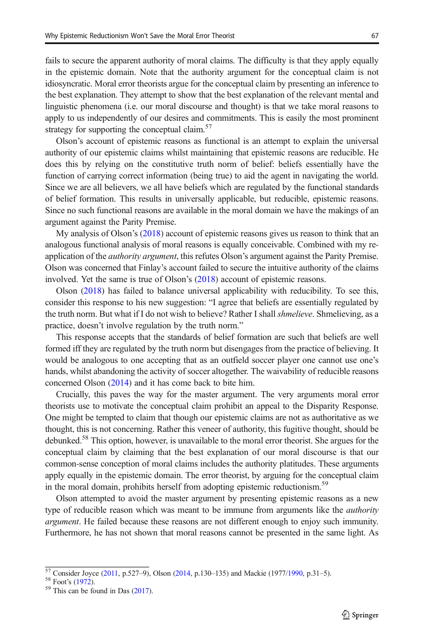fails to secure the apparent authority of moral claims. The difficulty is that they apply equally in the epistemic domain. Note that the authority argument for the conceptual claim is not idiosyncratic. Moral error theorists argue for the conceptual claim by presenting an inference to the best explanation. They attempt to show that the best explanation of the relevant mental and linguistic phenomena (i.e. our moral discourse and thought) is that we take moral reasons to apply to us independently of our desires and commitments. This is easily the most prominent strategy for supporting the conceptual claim.<sup>57</sup>

Olson's account of epistemic reasons as functional is an attempt to explain the universal authority of our epistemic claims whilst maintaining that epistemic reasons are reducible. He does this by relying on the constitutive truth norm of belief: beliefs essentially have the function of carrying correct information (being true) to aid the agent in navigating the world. Since we are all believers, we all have beliefs which are regulated by the functional standards of belief formation. This results in universally applicable, but reducible, epistemic reasons. Since no such functional reasons are available in the moral domain we have the makings of an argument against the Parity Premise.

My analysis of Olson's [\(2018\)](#page-16-0) account of epistemic reasons gives us reason to think that an analogous functional analysis of moral reasons is equally conceivable. Combined with my reapplication of the *authority argument*, this refutes Olson's argument against the Parity Premise. Olson was concerned that Finlay's account failed to secure the intuitive authority of the claims involved. Yet the same is true of Olson's ([2018](#page-16-0)) account of epistemic reasons.

Olson ([2018](#page-16-0)) has failed to balance universal applicability with reducibility. To see this, consider this response to his new suggestion: "I agree that beliefs are essentially regulated by the truth norm. But what if I do not wish to believe? Rather I shall *shmelieve*. Shmelieving, as a practice, doesn't involve regulation by the truth norm."

This response accepts that the standards of belief formation are such that beliefs are well formed iff they are regulated by the truth norm but disengages from the practice of believing. It would be analogous to one accepting that as an outfield soccer player one cannot use one's hands, whilst abandoning the activity of soccer altogether. The waivability of reducible reasons concerned Olson [\(2014\)](#page-16-0) and it has come back to bite him.

Crucially, this paves the way for the master argument. The very arguments moral error theorists use to motivate the conceptual claim prohibit an appeal to the Disparity Response. One might be tempted to claim that though our epistemic claims are not as authoritative as we thought, this is not concerning. Rather this veneer of authority, this fugitive thought, should be debunked.<sup>58</sup> This option, however, is unavailable to the moral error theorist. She argues for the conceptual claim by claiming that the best explanation of our moral discourse is that our common-sense conception of moral claims includes the authority platitudes. These arguments apply equally in the epistemic domain. The error theorist, by arguing for the conceptual claim in the moral domain, prohibits herself from adopting epistemic reductionism.<sup>59</sup>

Olson attempted to avoid the master argument by presenting epistemic reasons as a new type of reducible reason which was meant to be immune from arguments like the *authority* argument. He failed because these reasons are not different enough to enjoy such immunity. Furthermore, he has not shown that moral reasons cannot be presented in the same light. As

 $\frac{57}{57}$  Consider Joyce [\(2011,](#page-16-0) p.527–9), Olson [\(2014](#page-16-0), p.130–135) and Mackie (1977[/1990,](#page-16-0) p.31–5).<br>
<sup>58</sup> Foot's ([1972](#page-16-0)).<br>
<sup>59</sup> This can be found in Das [\(2017](#page-15-0)).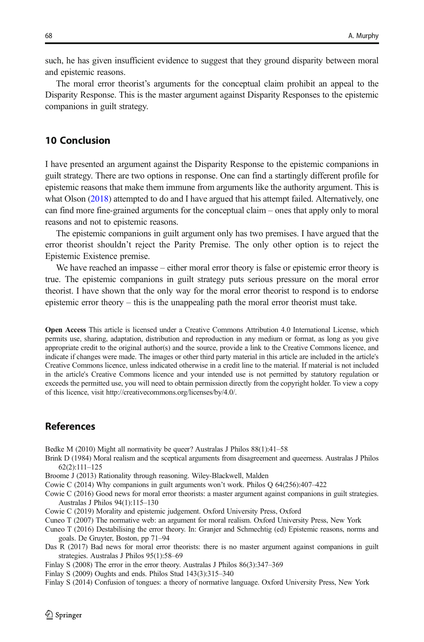<span id="page-15-0"></span>such, he has given insufficient evidence to suggest that they ground disparity between moral and epistemic reasons.

The moral error theorist's arguments for the conceptual claim prohibit an appeal to the Disparity Response. This is the master argument against Disparity Responses to the epistemic companions in guilt strategy.

#### 10 Conclusion

I have presented an argument against the Disparity Response to the epistemic companions in guilt strategy. There are two options in response. One can find a startingly different profile for epistemic reasons that make them immune from arguments like the authority argument. This is what Olson [\(2018\)](#page-16-0) attempted to do and I have argued that his attempt failed. Alternatively, one can find more fine-grained arguments for the conceptual claim – ones that apply only to moral reasons and not to epistemic reasons.

The epistemic companions in guilt argument only has two premises. I have argued that the error theorist shouldn't reject the Parity Premise. The only other option is to reject the Epistemic Existence premise.

We have reached an impasse – either moral error theory is false or epistemic error theory is true. The epistemic companions in guilt strategy puts serious pressure on the moral error theorist. I have shown that the only way for the moral error theorist to respond is to endorse epistemic error theory – this is the unappealing path the moral error theorist must take.

Open Access This article is licensed under a Creative Commons Attribution 4.0 International License, which permits use, sharing, adaptation, distribution and reproduction in any medium or format, as long as you give appropriate credit to the original author(s) and the source, provide a link to the Creative Commons licence, and indicate if changes were made. The images or other third party material in this article are included in the article's Creative Commons licence, unless indicated otherwise in a credit line to the material. If material is not included in the article's Creative Commons licence and your intended use is not permitted by statutory regulation or exceeds the permitted use, you will need to obtain permission directly from the copyright holder. To view a copy of this licence, visit http://creativecommons.org/licenses/by/4.0/.

### References

Bedke M (2010) Might all normativity be queer? Australas J Philos 88(1):41–58

- Brink D (1984) Moral realism and the sceptical arguments from disagreement and queerness. Australas J Philos 62(2):111–125
- Broome J (2013) Rationality through reasoning. Wiley-Blackwell, Malden
- Cowie C (2014) Why companions in guilt arguments won't work. Philos Q 64(256):407–422

Cowie C (2016) Good news for moral error theorists: a master argument against companions in guilt strategies. Australas J Philos 94(1):115–130

- Cowie C (2019) Morality and epistemic judgement. Oxford University Press, Oxford
- Cuneo T (2007) The normative web: an argument for moral realism. Oxford University Press, New York
- Cuneo T (2016) Destabilising the error theory. In: Granjer and Schmechtig (ed) Epistemic reasons, norms and goals. De Gruyter, Boston, pp 71–94
- Das R (2017) Bad news for moral error theorists: there is no master argument against companions in guilt strategies. Australas J Philos 95(1):58–69
- Finlay S (2008) The error in the error theory. Australas J Philos 86(3):347–369
- Finlay S (2009) Oughts and ends. Philos Stud 143(3):315–340

Finlay S (2014) Confusion of tongues: a theory of normative language. Oxford University Press, New York